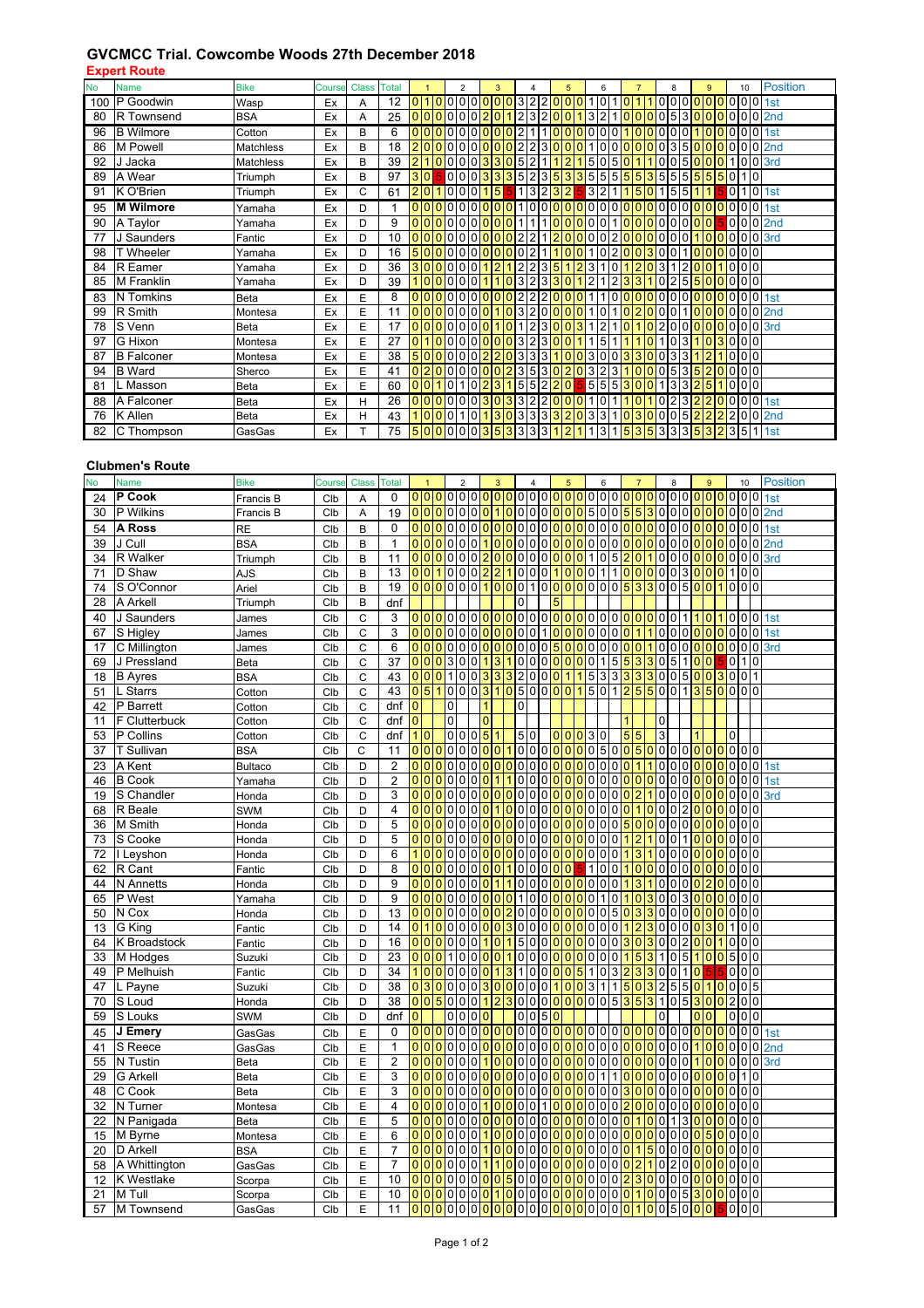## **GVCMCC Trial. Cowcombe Woods 27th December 2018**

**Expert Route**

| <b>No</b> | <b>Name</b>       | <b>Bike</b> | <b>Course Class Total</b> |   |    |                 | $\overline{2}$       | 3              |                |                                                       | 5                                                | 6                                |                                  | 8                      |                | 9       |                | 10    |                 | <b>Position</b>  |
|-----------|-------------------|-------------|---------------------------|---|----|-----------------|----------------------|----------------|----------------|-------------------------------------------------------|--------------------------------------------------|----------------------------------|----------------------------------|------------------------|----------------|---------|----------------|-------|-----------------|------------------|
| 100       | P Goodwin         | Wasp        | Ex                        | Α | 12 | 0 1             | 10                   | <b>0</b>       |                |                                                       | 0322000                                          | 110                              |                                  | 0                      | 0              |         |                |       |                 | 0 <sub>1st</sub> |
| 80        | R Townsend        | <b>BSA</b>  | Ex                        | Α | 25 | 0 <sup>0</sup>  | 0                    |                |                | 3                                                     |                                                  | 3                                |                                  | 5                      | 3              |         |                |       |                 | 02nd             |
| 96        | <b>B</b> Wilmore  | Cotton      | Ex                        | B | 6  | 0 0             | $\Omega$             |                |                |                                                       | $\Omega$                                         | 0                                |                                  |                        | 0              |         |                |       |                 | 0 <sub>1st</sub> |
| 86        | M Powell          | Matchless   | Ex                        | B | 18 |                 | 2000000000022        |                |                |                                                       | $3000$                                           | 1000                             | $\Omega$                         | 0 0                    |                | 3 5 0 0 | l0             | I٥    |                 | $0$ 0 2nd        |
| 92        | J Jacka           | Matchless   | Ex                        | B | 39 | $\overline{2}$  | 0 0 0 0 3 3 0 5 2    |                |                | 11 <sub>b</sub>                                       | 2                                                | 0 <sub>5</sub><br>5 <sub>5</sub> |                                  | $\overline{10}$        |                | 0 5 0 0 | $\overline{0}$ |       |                 | 0 <sub>3rd</sub> |
| 89        | A Wear            | Triumph     | Ex                        | B | 97 | 3 0             |                      |                |                |                                                       | <mark>5</mark> 000 <mark>3335</mark> 52353355555 |                                  |                                  | 35555                  |                | 5       |                | 50110 |                 |                  |
| 91        | K O'Brien         | Triumph     | Ex                        | C | 61 | 20              | 1000                 | 5              |                | 13232                                                 |                                                  | $3 2 1 $                         | $5\overline{5}$<br>10            |                        | 5 5            |         |                |       |                 | 0 <sub>1st</sub> |
| 95        | <b>M</b> Wilmore  | Yamaha      | Ex                        | D |    | 0 0             | 0 <sub>0</sub>       | 0 0 1          |                |                                                       | 0000000                                          | 0 <sub>0</sub>                   |                                  | 0 0<br>0               | 0              |         |                |       |                 | 0 <sub>1st</sub> |
| 90        | A Taylor          | Yamaha      | Ex                        | D | 9  |                 |                      |                |                |                                                       |                                                  |                                  |                                  |                        |                |         |                |       |                 | 50002nd          |
| 77        | J Saunders        | Fantic      | Ex                        | D | 10 | 0 <sup>10</sup> | 00000                |                |                | $\overline{2}$<br>$1\overline{2}$                     |                                                  | 0 2 0                            | l0                               | 0 0 <br>$\overline{0}$ | 0              |         |                |       |                 | $0 0 $ 3rd       |
| 98        | <b>T</b> Wheeler  | Yamaha      | Ex                        | D | 16 |                 |                      |                |                |                                                       | 50000000 <mark>000</mark> 021 <mark>100</mark>   | 10200                            |                                  | 3 0 <br>$\overline{0}$ |                |         |                | 0000  |                 |                  |
| 84        | R Eamer           | Yamaha      | Ex                        | D | 36 | 3 0             | 0 0                  | $\overline{2}$ | 2              | $\overline{2}$<br>3 5                                 | $\overline{2}$<br>1                              | 3<br>$\mathbf 0$                 | $\overline{2}$<br>$\overline{0}$ | <b>3</b>               | $\overline{2}$ |         |                |       | 0 <sub>0</sub>  |                  |
| 85        | M Franklin        | Yamaha      | Ex                        | D | 39 | 1 0             | 0 0 0 0              |                |                | 0 <sup>3</sup> 2<br>3 3                               | $\overline{0}$                                   | 12<br>2                          | <sup>3</sup><br>3                | 2                      | 55             |         |                | 000   |                 |                  |
| 83        | N Tomkins         | Beta        | Ex                        | E | 8  | 0 0             | I٥<br>0 <sup>o</sup> |                |                | $\overline{0}\overline{0}$  2 2<br>$\overline{2}$     | 0 0 0                                            | $\mathbf 0$<br>1                 | $\Omega$                         | 0                      | 0              |         |                | 0     |                 | 0 <sub>1st</sub> |
| 99        | R Smith           | Montesa     | Ex                        | E | 11 | 0000            | 0 <sub>0</sub>       |                | 0 3            | $\overline{2}$<br>I٥                                  | $\overline{0}$<br>10<br>$\overline{0}$           | 1 <sup>1</sup><br>0              | 2<br>$\mathbf{0}$                |                        |                |         |                | 0     |                 | 0 <sub>2nd</sub> |
| 78        | S Venn            | Beta        | Ex                        | E | 17 | 0 0             | 00000                |                | $\Omega$       | 12                                                    | 3 0 0<br>3                                       | $\overline{2}$                   | $\Omega$                         | 2<br>0                 | 0              |         |                |       |                 | $0 0 $ 3rd       |
| 97        | G Hixon           | Montesa     | Ex                        | E | 27 | $\mathbf{0}$    | 0<br>0 <sub>0</sub>  | $\overline{0}$ | 0 3            | $\overline{2}$<br>30                                  | $\mathbf 0$<br>1                                 | 5                                | ٥                                | 0                      | 3              |         | 3              |       | 0 <sup>10</sup> |                  |
| 87        | <b>B</b> Falconer | Montesa     | Ex                        | E | 38 |                 |                      |                |                |                                                       |                                                  |                                  | 500000002203331003003300300      |                        |                |         |                |       | 0 <sub>0</sub>  |                  |
| 94        | <b>B</b> Ward     | Sherco      | Ex                        | E | 41 |                 | 0 2 0 0 0 0 0        |                |                |                                                       | 02353020323                                      |                                  | l0                               | 0 0                    | 535            |         | $\overline{0}$ | l O   | 0 <sub>0</sub>  |                  |
| 81        | L Masson          | Beta        | Ex                        | E | 60 | 0 0             | 1 0 2                |                |                | 3 1 5 5 2 2                                           | $\overline{0}$                                   | 5 5 5 3 0                        | $\overline{0}$                   |                        | 3 3            | 5       |                |       | 0 <sub>0</sub>  |                  |
| 88        | A Falconer        | Beta        | Ex                        | н | 26 | 0 0             | 0 <sub>0</sub> 3     | $\overline{0}$ |                | 332<br>2 0                                            | l0                                               | 0                                |                                  | 2                      | 3              |         |                |       |                 | 0 <sub>1st</sub> |
| 76        | K Allen           | Beta        | Ex                        | н | 43 | 1 0             |                      | 3              | 0 <sup>3</sup> | 3 3 3                                                 | 12                                               | 3<br>3                           | 3                                |                        | 5              |         |                |       |                 | 0 <sub>2nd</sub> |
| 82        | C Thompson        | GasGas      | Ex                        |   | 75 |                 |                      |                |                | <mark> 5 0 0 </mark> 0 0 0 <mark> 3 5 3</mark>  3 3 3 | 2                                                | $1\vert 3 \vert$                 | 153533353 <mark>532</mark> 35    |                        |                |         |                |       |                 | <b>1 1st</b>     |

## **Clubmen's Route**

| <b>No</b> | <b>Name</b>          | <b>Bike</b>    | Course     | <b>Class</b> | <b>Total</b>    |                             | $\overline{1}$ |                 | $\overline{2}$                                    |                            |                                | $\overline{3}$       |                                  |                                  | $\overline{4}$                                                                                           |                | 5              |                      | 6                                |                                  |                 | $\overline{7}$                   |                            |                                  | 8                              |                | 9                                |                |                | 10             |                 | <b>Position</b>                                                                                                   |
|-----------|----------------------|----------------|------------|--------------|-----------------|-----------------------------|----------------|-----------------|---------------------------------------------------|----------------------------|--------------------------------|----------------------|----------------------------------|----------------------------------|----------------------------------------------------------------------------------------------------------|----------------|----------------|----------------------|----------------------------------|----------------------------------|-----------------|----------------------------------|----------------------------|----------------------------------|--------------------------------|----------------|----------------------------------|----------------|----------------|----------------|-----------------|-------------------------------------------------------------------------------------------------------------------|
| 24        | P Cook               | Francis B      | Clb        | A            | 0               |                             |                |                 |                                                   |                            |                                |                      |                                  |                                  |                                                                                                          |                |                |                      |                                  |                                  |                 |                                  |                            |                                  |                                |                |                                  |                |                |                |                 |                                                                                                                   |
| 30        | P Wilkins            | Francis B      | Clb        | Α            | 19              |                             |                |                 | 000000001                                         |                            |                                |                      |                                  |                                  | <mark>lololololololoislololsisialololololololol</mark> ololo                                             |                |                |                      |                                  |                                  |                 |                                  |                            |                                  |                                |                |                                  |                |                |                |                 | 2nd                                                                                                               |
| 54        | A Ross               | <b>RE</b>      | Clb        | B            | $\mathbf 0$     |                             |                |                 | 00000                                             |                            | 0 0 0                          |                      |                                  |                                  | lololololololololololo                                                                                   |                |                |                      |                                  |                                  |                 |                                  |                            |                                  | lololol <mark>olo</mark>       |                |                                  |                |                | 0 0 0          |                 | 0 <sub>1st</sub>                                                                                                  |
| 39        | J Cull               | <b>BSA</b>     | Clb        | B            | $\mathbf{1}$    | 0 <sup>10</sup>             |                |                 | 0 0 0 0                                           |                            |                                | 1 <sub>0</sub>       |                                  |                                  | 000000                                                                                                   |                |                | 0000 <mark>00</mark> |                                  |                                  |                 |                                  |                            |                                  | 000000                         |                |                                  |                |                | 0 0 0 0        |                 | 2 <sub>nd</sub>                                                                                                   |
| 34        | R Walker             | Triumph        | Clb        | B            | 11              | 0 <sup>0</sup>              |                |                 | 0<br>$\mathbf 0$                                  | $\mathbf{0}$               | $\overline{2}$                 | 10                   | $\Omega$                         | $\overline{0}$                   | $\mathbf 0$                                                                                              | 0 0 0          |                | $\Omega$             | $\overline{1}$<br>$\overline{0}$ | 5 <sub>5</sub>                   | $\overline{2}$  | $\overline{0}$                   |                            | 0                                | $\mathbf 0$                    |                | 0 0 0                            |                |                | 0 <sub>0</sub> | $\Omega$        | 3rd                                                                                                               |
| 71        | D Shaw               | AJS            | Clb        | B            | 13              | 0 <sup>10</sup>             |                |                 | $\Omega$                                          |                            | 0 0 2                          | $\overline{2}$       |                                  | 0                                | 0010                                                                                                     |                |                | 0 0                  |                                  |                                  |                 |                                  |                            |                                  | 1 1 0 0 0 0 0 3 0 0            |                |                                  | $\Omega$       |                | 100            |                 |                                                                                                                   |
| 74        | S O'Connor           | Ariel          | Clb        | B            | 19              | 0 <sup>10</sup>             |                | $\Omega$        | 0                                                 |                            | 0 0 1                          | 10                   | $\Omega$                         | $\overline{0}$                   | 10000000053                                                                                              |                |                |                      |                                  |                                  |                 |                                  |                            |                                  | 300500                         |                |                                  |                |                | 0 <sub>0</sub> |                 |                                                                                                                   |
| 28        | A Arkell             | Triumph        | Clb        | B            | dnf             |                             |                |                 |                                                   |                            |                                |                      |                                  | 0                                |                                                                                                          | 5              |                |                      |                                  |                                  |                 |                                  |                            |                                  |                                |                |                                  |                |                |                |                 |                                                                                                                   |
| 40        | J Saunders           | James          | Clb        | C            | 3               | 0 <sup>10</sup>             |                |                 |                                                   |                            |                                |                      |                                  |                                  | <mark>lol</mark> ololol <mark>ololololololololololololol</mark> olol                                     |                |                |                      |                                  |                                  |                 |                                  |                            |                                  |                                |                | $\mathbf{1}$<br>0                |                |                | 100            |                 | 0 <sub>1st</sub>                                                                                                  |
| 67        | S Higley             | James          | Clb        | C            | 3               | 0 <sup>10</sup>             |                | 0 0             |                                                   |                            |                                |                      |                                  |                                  |                                                                                                          |                |                |                      |                                  |                                  |                 |                                  |                            |                                  |                                |                |                                  |                |                |                |                 | 0 0  <mark>0 0 0 </mark> 0 0 1 <mark> 0 0 0 </mark> 0 0 0  <mark>0 1 1</mark>  0 0 0 <mark> 0 0 0</mark>  0 0 1st |
| 17        | C Millington         | James          | Clb        | C            | 6               | 0 <sup>10</sup>             |                | 0 0             | l O                                               |                            | 0 0 0                          |                      |                                  |                                  | 00005                                                                                                    |                | lo             | 000000               |                                  |                                  |                 |                                  |                            |                                  | 1000 <mark>00</mark>           |                |                                  |                |                |                |                 | 000003rd                                                                                                          |
| 69        | J Pressland          | Beta           | Clb        | C            | 37              | 0 <sup>10</sup>             |                |                 | 3                                                 |                            | 0 0 1                          | 3                    | 10                               |                                  | 0000                                                                                                     |                |                | 0 0 1 5 5            |                                  |                                  |                 | l <sub>3</sub>                   | 30 <sub>0</sub>            |                                  | $5100$                         |                |                                  |                |                | 0110           |                 |                                                                                                                   |
| 18        | <b>B</b> Ayres       | <b>BSA</b>     | Clb        | С            | 43              | 0 0                         |                | $\overline{O}$  | $\mathbf{1}$<br>$\mathbf 0$                       |                            | $0\vert 3$                     | 3                    | 3 2                              |                                  | 0 0 0 1                                                                                                  |                |                | 15                   |                                  | 3333                             |                 |                                  |                            |                                  | 3005003001                     |                |                                  |                |                |                |                 |                                                                                                                   |
| 51        | L Starrs             | Cotton         | Clb        | С            | 43              | $\overline{0}\vert 5$       |                |                 | 0                                                 |                            | 0 0 3 1                        |                      | 0 5                              |                                  | 000 <mark>001501255001350</mark>                                                                         |                |                |                      |                                  |                                  |                 |                                  |                            |                                  |                                |                |                                  |                |                | 0 <sub>0</sub> |                 |                                                                                                                   |
| 42        | P Barrett            | Cotton         | Clb        | C            | dnf             | $\overline{0}$              |                |                 | 0                                                 |                            | 1                              |                      |                                  | 0                                |                                                                                                          |                |                |                      |                                  |                                  |                 |                                  |                            |                                  |                                |                |                                  |                |                |                |                 |                                                                                                                   |
| 11        | F Clutterbuck        | Cotton         | Clb        | С            | dnf             | $\mathbf 0$                 |                |                 | 0                                                 |                            | $\mathbf 0$                    |                      |                                  |                                  |                                                                                                          |                |                |                      |                                  |                                  | 1               |                                  |                            | 0                                |                                |                |                                  |                |                |                |                 |                                                                                                                   |
| 53        | P Collins            | Cotton         | Clb        | C            | dnf             | 1 0                         |                |                 | 0 0 0 5                                           |                            |                                | $\mathbf{1}$         |                                  | 50                               |                                                                                                          |                |                | 00030                |                                  |                                  |                 | 55                               |                            | 3                                |                                |                |                                  |                | $\overline{0}$ |                |                 |                                                                                                                   |
| 37        | T Sullivan           | <b>BSA</b>     | Clb        | $\mathsf C$  | 11              | $\overline{0}$              | 0              |                 | 0                                                 |                            | 0 0 0                          | $\overline{0}$       |                                  |                                  | <mark> 1 </mark> 0 0 0  <mark>0 0 0</mark>  0 5 0 0 5 0 0 0 0 0 0 0 0 0                                  |                |                |                      |                                  |                                  |                 |                                  |                            |                                  |                                |                |                                  |                |                |                |                 |                                                                                                                   |
| 23        | A Kent               | <b>Bultaco</b> | Clb        | D            | $\overline{2}$  | 0 0                         |                |                 | 000000                                            |                            |                                |                      |                                  |                                  | <mark>00000000000001</mark>                                                                              |                |                |                      |                                  |                                  |                 |                                  |                            |                                  |                                |                |                                  |                |                |                |                 | <mark> 1 </mark> 0 0 0 <mark> 0 0 0 </mark> 0 0 1st                                                               |
| 46        | <b>B</b> Cook        | Yamaha         | Clb        | D            | $\overline{2}$  | 0 <sup>10</sup>             |                |                 | 0<br>$\mathbf{0}$                                 |                            | 0 <sup>0</sup>                 | $\overline{1}$       |                                  | $\overline{0}$                   | $\mathbf 0$                                                                                              | 0 <sup>0</sup> | l <sub>0</sub> | 0 0                  |                                  | 000                              |                 | lo                               | 0 0                        |                                  | $\overline{0}$                 | 0 <sub>0</sub> | Iо                               | $\Omega$       | 0              |                |                 | $0$ 0 1st                                                                                                         |
| 19        | S Chandler           | Honda          | Clb        | D            | 3               | 0 <sup>10</sup>             |                |                 | 0<br>$\mathbf 0$                                  | $\Omega$                   | $\overline{0}$                 | $\overline{0}$       | $\overline{0}$                   | 0                                | 0<br>$\overline{0}$                                                                                      | $\overline{0}$ | $\overline{0}$ | 0                    | 0<br>$\pmb{0}$                   | $\Omega$                         | $\overline{0}$  | $\overline{2}$                   |                            | 0                                | $\mathbf 0$                    | $\Omega$       | $\overline{0}$<br>$\overline{0}$ |                | 0              | $\mathbf 0$    | $\Omega$        | 3rd                                                                                                               |
| 68        | R Beale              | SWM            | Clb        | D            | 4               | 0 0                         |                |                 | 0<br>0                                            | $\overline{0}$             | $\mathbf{0}$                   | $\overline{1}$       | $\overline{0}$                   | 0                                | $\pmb{0}$                                                                                                | 0 <sup>0</sup> | 10             | 0 0                  |                                  | $\overline{0}$<br>$\overline{0}$ | $\mathbf{0}$    | $\overline{1}$                   |                            | 0                                | 0                              | $\overline{2}$ | $\overline{0}$<br>$\overline{0}$ |                | 0              | $\mathbf 0$    |                 |                                                                                                                   |
| 36        | M Smith              | Honda          | Clb        | D            | 5               | 0 <sup>10</sup>             |                |                 | $\mathbf 0$<br>0                                  | $\overline{0}$             | $\mathbf{0}$                   | $\overline{0}$       | $\overline{0}$                   | 0                                | 0                                                                                                        | 0 0            | $\overline{0}$ | $\overline{0}$       | $\overline{0}$<br>$\overline{0}$ | $\overline{0}$                   | 5               | $\mathbf 0$                      |                            | 0                                | $\mathbf 0$                    | $\overline{0}$ | $\mathbf{0}$<br>$\overline{0}$   |                | 0              | $\overline{0}$ |                 |                                                                                                                   |
| 73        | S Cooke              | Honda          | Clb        | D            | 5               | 0 0                         |                | 0 <sup>10</sup> | $\mathbf 0$                                       |                            | 0 <sup>0</sup>                 | $\overline{0}$       | 0 0                              |                                  | $\overline{0}$                                                                                           | 0 0            | 10             | 0 0                  | $\mathbf 0$                      | $\Omega$                         | $\mathbf{1}$    | $\overline{2}$                   |                            | 0                                | $\pmb{0}$                      | 1 <sup>1</sup> | $\overline{0}$<br>$\Omega$       |                | 0              |                | 0 <sup>10</sup> |                                                                                                                   |
| 72        | I Leyshon            | Honda          | Clb        | D            | 6               | $\mathbf{1}$                | $\overline{0}$ | $\overline{0}$  | 0<br>$\mathbf 0$                                  |                            | 0 <sup>0</sup>                 | $\overline{0}$       | $\overline{0}$                   | $\overline{0}$                   | $\pmb{0}$                                                                                                | 0 <sub>0</sub> | $\overline{0}$ | 0 0                  | $\pmb{0}$                        | $\overline{0}$                   | $\mathbf{1}$    | 3                                |                            | 0                                | $\overline{0}$                 | 0 <sub>0</sub> | $\overline{0}$                   |                | 0              | $\overline{0}$ | $\Omega$        |                                                                                                                   |
| 62        | R Cant               | Fantic         | Clb        | D            | 8               | 0 <sup>0</sup>              |                | 0 <sup>10</sup> | 0                                                 |                            | 0 <sup>0</sup>                 | $\overline{0}$       | 10                               |                                  | $\overline{0}$                                                                                           | 0 <sup>0</sup> | $\overline{0}$ |                      | 10                               |                                  | 0 <sub>1</sub>  | $\mathbf{0}$                     | 0 0                        |                                  | $\mathbf 0$                    | 0 <sup>0</sup> | $\mathbf 0$                      |                | 0              | $\overline{0}$ | $\overline{0}$  |                                                                                                                   |
| 44        | N Annetts            | Honda          | Clb        | D            | 9               | 0 <sup>10</sup>             |                | $\overline{0}$  | 0<br>$\overline{0}$                               |                            | 0 <sub>0</sub>                 | $\overline{1}$       |                                  | $\overline{0}$                   | $\mathbf 0$                                                                                              | 0 <sup>0</sup> | lo             | 0 0                  | $\circ$                          |                                  | 0 <sub>1</sub>  | 3                                |                            | 0                                | $\overline{0}$                 | 0 <sub>0</sub> | $\overline{2}$                   |                | 0              | $\overline{0}$ | $\Omega$        |                                                                                                                   |
| 65        | P West               | Yamaha         | Clb        | D            | 9               | 0 0                         |                | $\Omega$        | $\mathbf{0}$<br>0                                 | $\Omega$                   | $\Omega$                       | $\overline{0}$       | $\overline{0}$                   | $\mathbf{1}$                     | $\pmb{0}$                                                                                                | 0 <sub>0</sub> | $\overline{0}$ | $\overline{0}$       | $\mathsf 0$<br>$\mathbf 1$       | $\Omega$                         | $\mathbf{1}$    | $\mathbf 0$                      |                            | 0                                | 0                              | $\overline{3}$ | $\overline{0}$<br>$\Omega$       |                | 0              | $\overline{0}$ | $\Omega$        |                                                                                                                   |
| 50        | N Cox                | Honda          | Clb        | D            | 13              | 0 0                         |                | $\overline{0}$  | 0<br>0                                            | $\overline{0}$             | $\mathbf{0}$                   | $\overline{0}$       | $\overline{2}$                   | 0                                | $\pmb{0}$                                                                                                | 0 <sup>0</sup> | lo             | 0 0                  | $\circ$                          | 5 <sub>5</sub>                   | $\mathbf{0}$    | 3                                | 3                          | 0                                | $\overline{0}$                 | 0 <sub>0</sub> | l0                               | $\Omega$       | 0              | 0              | $\Omega$        |                                                                                                                   |
| 13        | G King               | Fantic         | Clb        | D            | 14              | 0 <sup>1</sup>              |                | $\overline{0}$  | 0<br>$\mathbf 0$                                  |                            | 0 0                            | $\overline{0}$       | 3                                | 0                                | 0                                                                                                        | 0 0 0          |                | 000                  |                                  |                                  | 0 <sup>1</sup>  | $\overline{2}$                   |                            | 0                                | $\overline{0}$                 | 0 0            | 3                                |                |                | 10             | $\overline{0}$  |                                                                                                                   |
| 64        | K Broadstock         | Fantic         | Clb        | D            | 16              | 0 <sup>0</sup>              | $\Omega$       |                 | 0<br>$\pmb{0}$                                    | $\Omega$                   | $\overline{1}$                 | $\overline{0}$       |                                  | 5                                | $\pmb{0}$                                                                                                | 0 <sup>0</sup> | 0              | $\Omega$             | 0<br>$\overline{\mathbf{0}}$     | $\overline{0}$                   | 3               | $\mathbf 0$                      | 3                          | $\pmb{0}$                        | $\mathbf 0$                    | $\overline{2}$ | $\overline{0}$<br>$\overline{0}$ |                | 0              | $\overline{0}$ | $\Omega$        |                                                                                                                   |
| 33        | M Hodges             | Suzuki         | Clb        | D            | 23              | 0 <sup>0</sup>              |                |                 | $\mathbf{1}$<br>$\mathbf 0$                       | $\Omega$                   | $\Omega$                       | $\overline{0}$       |                                  | 0                                | $\overline{0}$                                                                                           | 0 <sup>0</sup> | Iо             | $\overline{0}$       | $\overline{0}$                   | $\Omega$                         | $\mathbf{1}$    | 5                                |                            | $\mathbf{1}$                     | $\overline{0}$                 | 5              | $\Omega$<br>$\mathbf{1}$         |                |                | 50             | $\Omega$        |                                                                                                                   |
| 49        | P Melhuish           | Fantic         | Clb        | D            | $\overline{34}$ | 10                          |                |                 | 0<br>0                                            | $\overline{0}$             | $\mathbf{0}$                   | $\overline{1}$       | $\mathbf{3}$                     | $\mathbf{1}$                     | $\overline{0}$                                                                                           | 0 0 0          |                | $\overline{5}$       | 10                               |                                  | $3\overline{2}$ | 3                                | 3                          | $\overline{0}$                   | $\overline{0}$                 | 11             | $\mathbf{0}$                     |                |                | 0 <sub>0</sub> |                 |                                                                                                                   |
| 47        | L Payne              | Suzuki         | Clb        | D            | 38              | 0 <sup>3</sup>              |                |                 | $\mathbf{0}$<br>$\Omega$                          | $\Omega$                   | 3 0                            |                      | $\Omega$                         | $\overline{0}$                   | $\overline{0}$<br>$\mathsf{o}$                                                                           | 1 <sub>0</sub> |                | 0 3                  |                                  | $\mathbf{1}$                     | $1\overline{5}$ | $\overline{0}$                   | $\mathbf{3}$               | $\overline{c}$                   | 5                              | 5 <sub>1</sub> | $\Omega$<br>$\overline{1}$       |                |                | 0 <sub>0</sub> | 5               |                                                                                                                   |
| 70        | S Loud               | Honda          | Clb        | D            | 38              | 0 0                         |                | 5 <sub>5</sub>  | 0                                                 |                            | 0 0 1                          | $\overline{2}$       |                                  |                                  | <mark>30000000000535</mark>                                                                              |                |                |                      |                                  |                                  |                 |                                  |                            |                                  | 3 1 0 5 3 0                    |                |                                  |                | 0 2            |                | 0 <sub>0</sub>  |                                                                                                                   |
| 59        | S Louks              | SWM            | Clb        | D            | dnf             | $\overline{0}$              |                |                 | 0<br>$\mathbf 0$                                  |                            | 0 <sup>0</sup>                 |                      |                                  | 0                                | 0 <sub>5</sub>                                                                                           |                |                |                      |                                  |                                  |                 |                                  |                            | 0                                |                                |                | 0 <sup>0</sup>                   |                |                | 0 0 0          |                 |                                                                                                                   |
| 45        | J Emery              | GasGas         | Clb        | E            | 0               | 0 <sup>10</sup>             |                |                 | 0 <sub>0</sub>                                    |                            | 0 0 0                          |                      |                                  |                                  | 00000 <mark>000000000</mark>                                                                             |                |                |                      |                                  |                                  |                 |                                  |                            |                                  | 000000                         |                |                                  |                |                |                |                 | $000001$ st                                                                                                       |
| 41        | S Reece              | GasGas         | Clb        | E            | $\mathbf{1}$    | $\overline{0}$ <sub>0</sub> |                |                 | $\overline{0}$<br>$\overline{0}$                  |                            | 0 0 0                          |                      |                                  | 0 <sub>0</sub>                   |                                                                                                          | 0 0 0          |                | 000                  |                                  |                                  | 0 0 0           |                                  |                            | 000                              |                                | $\overline{0}$ | $\overline{0}$<br>$\mathbf{1}$   |                | 0              | $\overline{0}$ | $\Omega$        | 2 <sub>nd</sub>                                                                                                   |
| 55        | N Tustin             | Beta           | Clb        | E            | 2               | $\overline{0}$ 0            |                |                 | 0<br>$\mathbf 0$                                  | $\Omega$                   | $\mathbf{1}$                   | $\overline{0}$       | $\Omega$                         | 0                                | $\overline{0}$                                                                                           | 0 0            | $\overline{0}$ | n                    | $\overline{0}$<br>0              |                                  | 0 0             | $\overline{0}$                   | $\Omega$                   | 0                                | $\mathbf 0$                    | $\Omega$       | $\overline{0}$<br>$\mathbf{1}$   |                | 0              | $\overline{0}$ | $\Omega$        | 3rd                                                                                                               |
| 29        | <b>G</b> Arkell      | Beta           | Clb        | E            | 3               | olo                         |                |                 | $\Omega$<br>$\Omega$                              |                            | $\overline{0}$                 | $\overline{0}$       |                                  | 0                                | $\mathbf 0$                                                                                              | $\overline{0}$ | $\mathbf 0$    |                      | 0<br>$\mathbf{1}$                |                                  | 0               | $\Omega$                         |                            | 0                                | $\Omega$                       |                | $\overline{0}$                   |                | $\Omega$       | $\mathbf{1}$   |                 |                                                                                                                   |
| 48        | C Cook               | Beta           | Clb        | E            | 3               | 0 0<br>0 <sup>10</sup>      |                |                 | $\overline{0}$<br>0<br>$\Omega$<br>$\overline{0}$ | $\overline{0}$<br>$\Omega$ | 0 0<br>$\mathbf{1}$            | $\overline{0}$       | $\overline{0}$<br>$\overline{0}$ | 0                                | 0000<br>1 <sup>1</sup>                                                                                   |                |                | 0 0<br>000           |                                  | 0 <sub>0</sub>                   | 3               | $\overline{0}$                   | $\Omega$<br>$\overline{0}$ | 0                                | 0 <sub>0</sub>                 | $\Omega$       | 0 <sup>0</sup><br>$\Omega$<br>I٥ |                |                | 0 0 0<br>0 0 0 |                 |                                                                                                                   |
| 32        | N Turner             | Montesa        | Clb        | E            | 4               | 0 <sup>0</sup>              |                |                 | $\overline{0}$<br>$\Omega$                        | $\overline{0}$             |                                |                      | $\overline{0}$                   | $\overline{0}$<br>$\overline{0}$ | $\overline{0}$                                                                                           |                | 0 0            | 0 0                  |                                  |                                  | 0 <sub>2</sub>  | $\overline{0}$<br>$\overline{1}$ |                            | $\overline{0}$<br>$\overline{0}$ | $\overline{0}$<br>$\mathbf{1}$ | $\mathbf{3}$   | $\Omega$<br>I٥                   |                |                | 0 <sub>0</sub> |                 |                                                                                                                   |
| 22        | N Panigada           | Beta           | Clb        | E            | 5<br>6          | 0 <sup>0</sup>              |                | $\overline{0}$  | $\overline{0}$<br>$\overline{0}$                  |                            | $\mathbf{0}$<br>0 <sup>1</sup> | lo<br>$\overline{0}$ | $\overline{0}$                   | $\overline{0}$                   | 0 0 0 0<br>$\overline{0}$                                                                                | 0 0 0          |                | 0 0                  | 0                                | 0 0 0                            | 0 <sup>0</sup>  | l0                               | $\overline{0}$<br> 0 0     |                                  | $\overline{0}$                 | 0 <sub>0</sub> | 5                                |                |                | 0 <sub>0</sub> |                 |                                                                                                                   |
| 15        | M Byrne<br>D Arkell  | Montesa        | Clb        | E            | 7               | 0 <sup>10</sup>             |                |                 | $\overline{0}$                                    |                            | 0 0 1                          | $\overline{0}$       | $\Omega$                         | $\overline{0}$                   | 0 0 0 0                                                                                                  |                |                | 0 0                  |                                  | 0 <sub>0</sub>                   |                 | $\overline{1}$                   | 5 <sup>5</sup>             | 0                                | 0 0 0                          |                | lo                               |                |                | 0 <sub>0</sub> |                 |                                                                                                                   |
| 20<br>58  |                      | <b>BSA</b>     | Clb<br>Clb | E            | $\overline{7}$  | 0 <sup>0</sup>              |                | $\Omega$        | 0<br>0                                            | $\overline{0}$             | $\mathbf{1}$                   | $\mathbf{1}$         | $\overline{0}$                   | 0                                | $\overline{0}$                                                                                           | 0 <sup>0</sup> | lo             | $\Omega$             | $\overline{0}$<br>$\overline{0}$ |                                  | 0 <sup>0</sup>  | $\overline{2}$                   |                            | 0                                | $\overline{2}$                 | $\Omega$       | $\mathbf{0}$<br>١o               |                | 0              |                | 0 <sub>0</sub>  |                                                                                                                   |
|           | A Whittington        | GasGas         | Clb        | E            | 10              | 0 <sup>10</sup>             |                | $\Omega$        | 0                                                 |                            | 0 <sub>0</sub>                 | 10                   | $5\overline{5}$                  | 0                                | 0 0 0 0 0 0                                                                                              |                |                |                      |                                  | 002                              |                 | 13                               | $\overline{0}$             | $\overline{0}$                   | 0 0 0                          |                | l0                               | $\overline{0}$ |                | 000            |                 |                                                                                                                   |
| 12<br>21  | K Westlake<br>M Tull | Scorpa         | Clb        | Ε            | 10              |                             | 0 0 0 0        |                 |                                                   |                            |                                |                      |                                  |                                  | 0 0 <mark> 0 1 0 </mark> 0 0 0  <mark>0 0 0 0</mark>  0 0  <mark>0 1 0 </mark> 0 0 5  <mark>3 0 0</mark> |                |                |                      |                                  |                                  |                 |                                  |                            |                                  |                                |                |                                  |                |                | 0 0 0          |                 |                                                                                                                   |
| 57        | M Townsend           | Scorpa         |            | E<br>E       | 11              |                             |                |                 |                                                   |                            |                                |                      |                                  |                                  |                                                                                                          |                |                |                      |                                  |                                  |                 |                                  |                            |                                  |                                |                |                                  |                |                |                |                 |                                                                                                                   |
|           |                      | GasGas         | Clb        |              |                 |                             |                |                 |                                                   |                            |                                |                      |                                  |                                  |                                                                                                          |                |                |                      |                                  |                                  |                 |                                  |                            |                                  |                                |                |                                  |                |                |                |                 |                                                                                                                   |